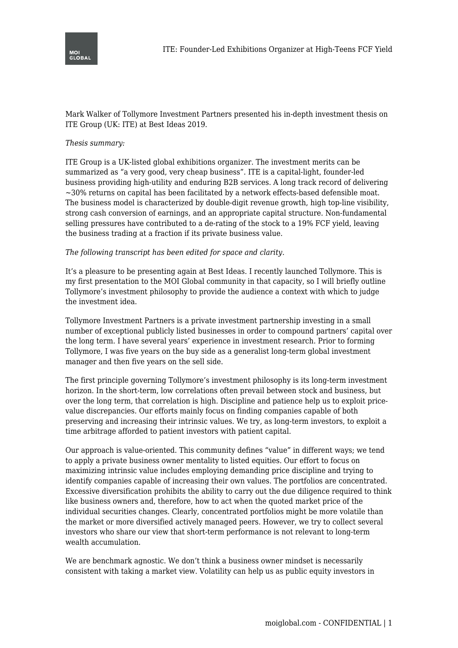

Mark Walker of Tollymore Investment Partners presented his in-depth investment thesis on ITE Group (UK: ITE) at Best Ideas 2019.

## *Thesis summary:*

ITE Group is a UK-listed global exhibitions organizer. The investment merits can be summarized as "a very good, very cheap business". ITE is a capital-light, founder-led business providing high-utility and enduring B2B services. A long track record of delivering  $\sim$ 30% returns on capital has been facilitated by a network effects-based defensible moat. The business model is characterized by double-digit revenue growth, high top-line visibility, strong cash conversion of earnings, and an appropriate capital structure. Non-fundamental selling pressures have contributed to a de-rating of the stock to a 19% FCF yield, leaving the business trading at a fraction if its private business value.

## *The following transcript has been edited for space and clarity.*

It's a pleasure to be presenting again at Best Ideas. I recently launched Tollymore. This is my first presentation to the MOI Global community in that capacity, so I will briefly outline Tollymore's investment philosophy to provide the audience a context with which to judge the investment idea.

Tollymore Investment Partners is a private investment partnership investing in a small number of exceptional publicly listed businesses in order to compound partners' capital over the long term. I have several years' experience in investment research. Prior to forming Tollymore, I was five years on the buy side as a generalist long-term global investment manager and then five years on the sell side.

The first principle governing Tollymore's investment philosophy is its long-term investment horizon. In the short-term, low correlations often prevail between stock and business, but over the long term, that correlation is high. Discipline and patience help us to exploit pricevalue discrepancies. Our efforts mainly focus on finding companies capable of both preserving and increasing their intrinsic values. We try, as long-term investors, to exploit a time arbitrage afforded to patient investors with patient capital.

Our approach is value-oriented. This community defines "value" in different ways; we tend to apply a private business owner mentality to listed equities. Our effort to focus on maximizing intrinsic value includes employing demanding price discipline and trying to identify companies capable of increasing their own values. The portfolios are concentrated. Excessive diversification prohibits the ability to carry out the due diligence required to think like business owners and, therefore, how to act when the quoted market price of the individual securities changes. Clearly, concentrated portfolios might be more volatile than the market or more diversified actively managed peers. However, we try to collect several investors who share our view that short-term performance is not relevant to long-term wealth accumulation.

We are benchmark agnostic. We don't think a business owner mindset is necessarily consistent with taking a market view. Volatility can help us as public equity investors in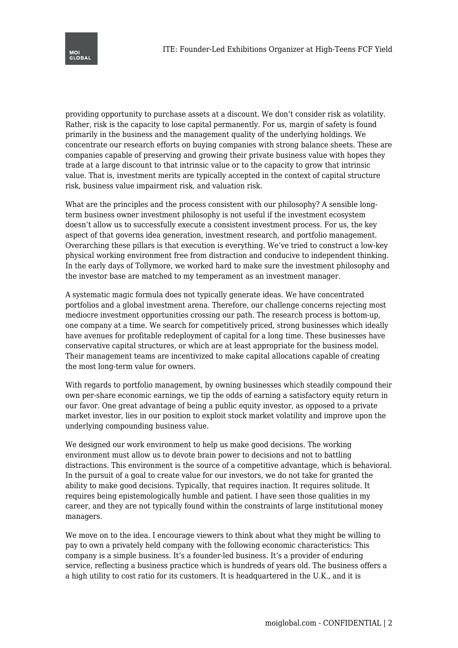

providing opportunity to purchase assets at a discount. We don't consider risk as volatility. Rather, risk is the capacity to lose capital permanently. For us, margin of safety is found primarily in the business and the management quality of the underlying holdings. We concentrate our research efforts on buying companies with strong balance sheets. These are companies capable of preserving and growing their private business value with hopes they trade at a large discount to that intrinsic value or to the capacity to grow that intrinsic value. That is, investment merits are typically accepted in the context of capital structure risk, business value impairment risk, and valuation risk.

What are the principles and the process consistent with our philosophy? A sensible longterm business owner investment philosophy is not useful if the investment ecosystem doesn't allow us to successfully execute a consistent investment process. For us, the key aspect of that governs idea generation, investment research, and portfolio management. Overarching these pillars is that execution is everything. We've tried to construct a low-key physical working environment free from distraction and conducive to independent thinking. In the early days of Tollymore, we worked hard to make sure the investment philosophy and the investor base are matched to my temperament as an investment manager.

A systematic magic formula does not typically generate ideas. We have concentrated portfolios and a global investment arena. Therefore, our challenge concerns rejecting most mediocre investment opportunities crossing our path. The research process is bottom-up, one company at a time. We search for competitively priced, strong businesses which ideally have avenues for profitable redeployment of capital for a long time. These businesses have conservative capital structures, or which are at least appropriate for the business model. Their management teams are incentivized to make capital allocations capable of creating the most long-term value for owners.

With regards to portfolio management, by owning businesses which steadily compound their own per-share economic earnings, we tip the odds of earning a satisfactory equity return in our favor. One great advantage of being a public equity investor, as opposed to a private market investor, lies in our position to exploit stock market volatility and improve upon the underlying compounding business value.

We designed our work environment to help us make good decisions. The working environment must allow us to devote brain power to decisions and not to battling distractions. This environment is the source of a competitive advantage, which is behavioral. In the pursuit of a goal to create value for our investors, we do not take for granted the ability to make good decisions. Typically, that requires inaction. It requires solitude. It requires being epistemologically humble and patient. I have seen those qualities in my career, and they are not typically found within the constraints of large institutional money managers.

We move on to the idea. I encourage viewers to think about what they might be willing to pay to own a privately held company with the following economic characteristics: This company is a simple business. It's a founder-led business. It's a provider of enduring service, reflecting a business practice which is hundreds of years old. The business offers a a high utility to cost ratio for its customers. It is headquartered in the U.K., and it is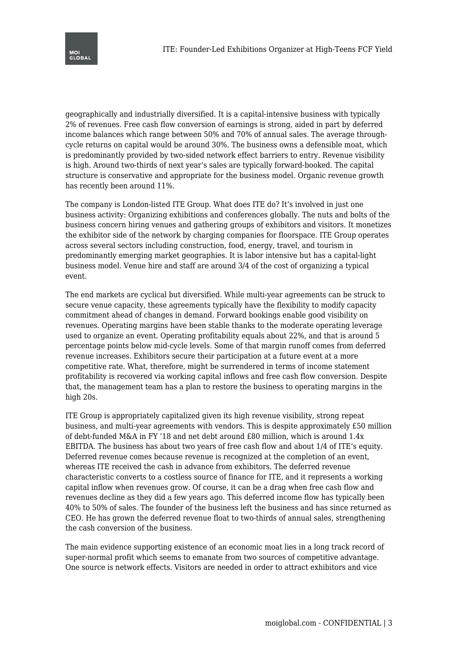

geographically and industrially diversified. It is a capital-intensive business with typically 2% of revenues. Free cash flow conversion of earnings is strong, aided in part by deferred income balances which range between 50% and 70% of annual sales. The average throughcycle returns on capital would be around 30%. The business owns a defensible moat, which is predominantly provided by two-sided network effect barriers to entry. Revenue visibility is high. Around two-thirds of next year's sales are typically forward-booked. The capital structure is conservative and appropriate for the business model. Organic revenue growth has recently been around 11%.

The company is London-listed ITE Group. What does ITE do? It's involved in just one business activity: Organizing exhibitions and conferences globally. The nuts and bolts of the business concern hiring venues and gathering groups of exhibitors and visitors. It monetizes the exhibitor side of the network by charging companies for floorspace. ITE Group operates across several sectors including construction, food, energy, travel, and tourism in predominantly emerging market geographies. It is labor intensive but has a capital-light business model. Venue hire and staff are around 3/4 of the cost of organizing a typical event.

The end markets are cyclical but diversified. While multi-year agreements can be struck to secure venue capacity, these agreements typically have the flexibility to modify capacity commitment ahead of changes in demand. Forward bookings enable good visibility on revenues. Operating margins have been stable thanks to the moderate operating leverage used to organize an event. Operating profitability equals about 22%, and that is around 5 percentage points below mid-cycle levels. Some of that margin runoff comes from deferred revenue increases. Exhibitors secure their participation at a future event at a more competitive rate. What, therefore, might be surrendered in terms of income statement profitability is recovered via working capital inflows and free cash flow conversion. Despite that, the management team has a plan to restore the business to operating margins in the high 20s.

ITE Group is appropriately capitalized given its high revenue visibility, strong repeat business, and multi-year agreements with vendors. This is despite approximately £50 million of debt-funded M&A in FY '18 and net debt around £80 million, which is around 1.4x EBITDA. The business has about two years of free cash flow and about 1/4 of ITE's equity. Deferred revenue comes because revenue is recognized at the completion of an event, whereas ITE received the cash in advance from exhibitors. The deferred revenue characteristic converts to a costless source of finance for ITE, and it represents a working capital inflow when revenues grow. Of course, it can be a drag when free cash flow and revenues decline as they did a few years ago. This deferred income flow has typically been 40% to 50% of sales. The founder of the business left the business and has since returned as CEO. He has grown the deferred revenue float to two-thirds of annual sales, strengthening the cash conversion of the business.

The main evidence supporting existence of an economic moat lies in a long track record of super-normal profit which seems to emanate from two sources of competitive advantage. One source is network effects. Visitors are needed in order to attract exhibitors and vice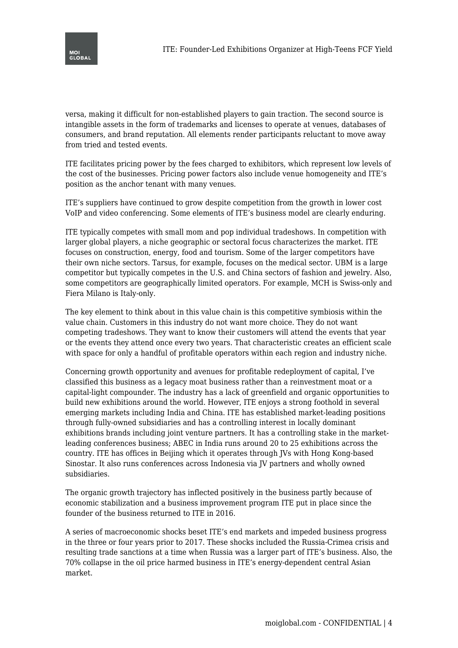

versa, making it difficult for non-established players to gain traction. The second source is intangible assets in the form of trademarks and licenses to operate at venues, databases of consumers, and brand reputation. All elements render participants reluctant to move away from tried and tested events.

ITE facilitates pricing power by the fees charged to exhibitors, which represent low levels of the cost of the businesses. Pricing power factors also include venue homogeneity and ITE's position as the anchor tenant with many venues.

ITE's suppliers have continued to grow despite competition from the growth in lower cost VoIP and video conferencing. Some elements of ITE's business model are clearly enduring.

ITE typically competes with small mom and pop individual tradeshows. In competition with larger global players, a niche geographic or sectoral focus characterizes the market. ITE focuses on construction, energy, food and tourism. Some of the larger competitors have their own niche sectors. Tarsus, for example, focuses on the medical sector. UBM is a large competitor but typically competes in the U.S. and China sectors of fashion and jewelry. Also, some competitors are geographically limited operators. For example, MCH is Swiss-only and Fiera Milano is Italy-only.

The key element to think about in this value chain is this competitive symbiosis within the value chain. Customers in this industry do not want more choice. They do not want competing tradeshows. They want to know their customers will attend the events that year or the events they attend once every two years. That characteristic creates an efficient scale with space for only a handful of profitable operators within each region and industry niche.

Concerning growth opportunity and avenues for profitable redeployment of capital, I've classified this business as a legacy moat business rather than a reinvestment moat or a capital-light compounder. The industry has a lack of greenfield and organic opportunities to build new exhibitions around the world. However, ITE enjoys a strong foothold in several emerging markets including India and China. ITE has established market-leading positions through fully-owned subsidiaries and has a controlling interest in locally dominant exhibitions brands including joint venture partners. It has a controlling stake in the marketleading conferences business; ABEC in India runs around 20 to 25 exhibitions across the country. ITE has offices in Beijing which it operates through JVs with Hong Kong-based Sinostar. It also runs conferences across Indonesia via JV partners and wholly owned subsidiaries.

The organic growth trajectory has inflected positively in the business partly because of economic stabilization and a business improvement program ITE put in place since the founder of the business returned to ITE in 2016.

A series of macroeconomic shocks beset ITE's end markets and impeded business progress in the three or four years prior to 2017. These shocks included the Russia-Crimea crisis and resulting trade sanctions at a time when Russia was a larger part of ITE's business. Also, the 70% collapse in the oil price harmed business in ITE's energy-dependent central Asian market.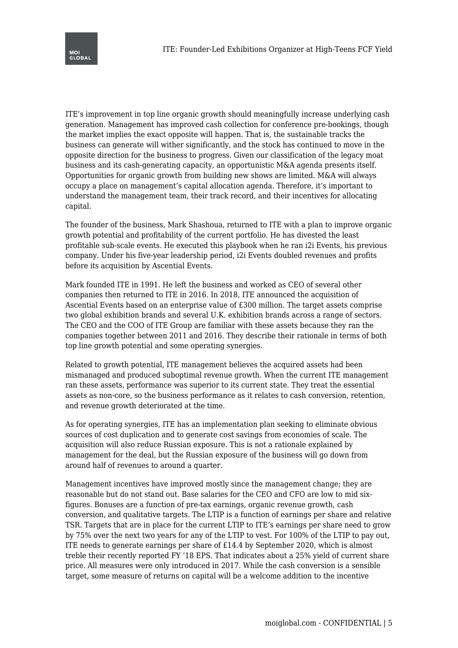ITE's improvement in top line organic growth should meaningfully increase underlying cash generation. Management has improved cash collection for conference pre-bookings, though the market implies the exact opposite will happen. That is, the sustainable tracks the business can generate will wither significantly, and the stock has continued to move in the opposite direction for the business to progress. Given our classification of the legacy moat business and its cash-generating capacity, an opportunistic M&A agenda presents itself. Opportunities for organic growth from building new shows are limited. M&A will always occupy a place on management's capital allocation agenda. Therefore, it's important to understand the management team, their track record, and their incentives for allocating capital.

The founder of the business, Mark Shashoua, returned to ITE with a plan to improve organic growth potential and profitability of the current portfolio. He has divested the least profitable sub-scale events. He executed this playbook when he ran i2i Events, his previous company. Under his five-year leadership period, i2i Events doubled revenues and profits before its acquisition by Ascential Events.

Mark founded ITE in 1991. He left the business and worked as CEO of several other companies then returned to ITE in 2016. In 2018, ITE announced the acquisition of Ascential Events based on an enterprise value of £300 million. The target assets comprise two global exhibition brands and several U.K. exhibition brands across a range of sectors. The CEO and the COO of ITE Group are familiar with these assets because they ran the companies together between 2011 and 2016. They describe their rationale in terms of both top line growth potential and some operating synergies.

Related to growth potential, ITE management believes the acquired assets had been mismanaged and produced suboptimal revenue growth. When the current ITE management ran these assets, performance was superior to its current state. They treat the essential assets as non-core, so the business performance as it relates to cash conversion, retention, and revenue growth deteriorated at the time.

As for operating synergies, ITE has an implementation plan seeking to eliminate obvious sources of cost duplication and to generate cost savings from economies of scale. The acquisition will also reduce Russian exposure. This is not a rationale explained by management for the deal, but the Russian exposure of the business will go down from around half of revenues to around a quarter.

Management incentives have improved mostly since the management change; they are reasonable but do not stand out. Base salaries for the CEO and CFO are low to mid sixfigures. Bonuses are a function of pre-tax earnings, organic revenue growth, cash conversion, and qualitative targets. The LTIP is a function of earnings per share and relative TSR. Targets that are in place for the current LTIP to ITE's earnings per share need to grow by 75% over the next two years for any of the LTIP to vest. For 100% of the LTIP to pay out, ITE needs to generate earnings per share of £14.4 by September 2020, which is almost treble their recently reported FY '18 EPS. That indicates about a 25% yield of current share price. All measures were only introduced in 2017. While the cash conversion is a sensible target, some measure of returns on capital will be a welcome addition to the incentive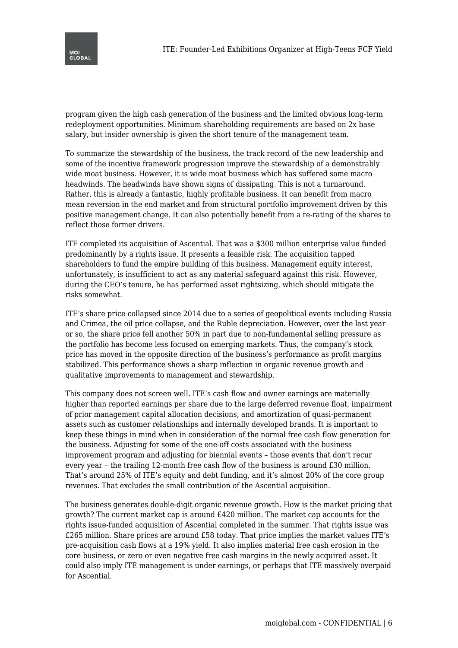

program given the high cash generation of the business and the limited obvious long-term redeployment opportunities. Minimum shareholding requirements are based on 2x base salary, but insider ownership is given the short tenure of the management team.

To summarize the stewardship of the business, the track record of the new leadership and some of the incentive framework progression improve the stewardship of a demonstrably wide moat business. However, it is wide moat business which has suffered some macro headwinds. The headwinds have shown signs of dissipating. This is not a turnaround. Rather, this is already a fantastic, highly profitable business. It can benefit from macro mean reversion in the end market and from structural portfolio improvement driven by this positive management change. It can also potentially benefit from a re-rating of the shares to reflect those former drivers.

ITE completed its acquisition of Ascential. That was a \$300 million enterprise value funded predominantly by a rights issue. It presents a feasible risk. The acquisition tapped shareholders to fund the empire building of this business. Management equity interest, unfortunately, is insufficient to act as any material safeguard against this risk. However, during the CEO's tenure, he has performed asset rightsizing, which should mitigate the risks somewhat.

ITE's share price collapsed since 2014 due to a series of geopolitical events including Russia and Crimea, the oil price collapse, and the Ruble depreciation. However, over the last year or so, the share price fell another 50% in part due to non-fundamental selling pressure as the portfolio has become less focused on emerging markets. Thus, the company's stock price has moved in the opposite direction of the business's performance as profit margins stabilized. This performance shows a sharp inflection in organic revenue growth and qualitative improvements to management and stewardship.

This company does not screen well. ITE's cash flow and owner earnings are materially higher than reported earnings per share due to the large deferred revenue float, impairment of prior management capital allocation decisions, and amortization of quasi-permanent assets such as customer relationships and internally developed brands. It is important to keep these things in mind when in consideration of the normal free cash flow generation for the business. Adjusting for some of the one-off costs associated with the business improvement program and adjusting for biennial events – those events that don't recur every year – the trailing 12-month free cash flow of the business is around £30 million. That's around 25% of ITE's equity and debt funding, and it's almost 20% of the core group revenues. That excludes the small contribution of the Ascential acquisition.

The business generates double-digit organic revenue growth. How is the market pricing that growth? The current market cap is around £420 million. The market cap accounts for the rights issue-funded acquisition of Ascential completed in the summer. That rights issue was £265 million. Share prices are around £58 today. That price implies the market values ITE's pre-acquisition cash flows at a 19% yield. It also implies material free cash erosion in the core business, or zero or even negative free cash margins in the newly acquired asset. It could also imply ITE management is under earnings, or perhaps that ITE massively overpaid for Ascential.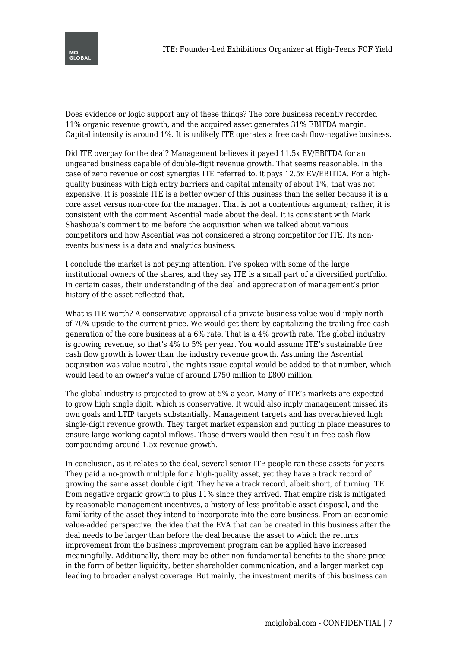

Does evidence or logic support any of these things? The core business recently recorded 11% organic revenue growth, and the acquired asset generates 31% EBITDA margin. Capital intensity is around 1%. It is unlikely ITE operates a free cash flow-negative business.

Did ITE overpay for the deal? Management believes it payed 11.5x EV/EBITDA for an ungeared business capable of double-digit revenue growth. That seems reasonable. In the case of zero revenue or cost synergies ITE referred to, it pays 12.5x EV/EBITDA. For a highquality business with high entry barriers and capital intensity of about 1%, that was not expensive. It is possible ITE is a better owner of this business than the seller because it is a core asset versus non-core for the manager. That is not a contentious argument; rather, it is consistent with the comment Ascential made about the deal. It is consistent with Mark Shashoua's comment to me before the acquisition when we talked about various competitors and how Ascential was not considered a strong competitor for ITE. Its nonevents business is a data and analytics business.

I conclude the market is not paying attention. I've spoken with some of the large institutional owners of the shares, and they say ITE is a small part of a diversified portfolio. In certain cases, their understanding of the deal and appreciation of management's prior history of the asset reflected that.

What is ITE worth? A conservative appraisal of a private business value would imply north of 70% upside to the current price. We would get there by capitalizing the trailing free cash generation of the core business at a 6% rate. That is a 4% growth rate. The global industry is growing revenue, so that's 4% to 5% per year. You would assume ITE's sustainable free cash flow growth is lower than the industry revenue growth. Assuming the Ascential acquisition was value neutral, the rights issue capital would be added to that number, which would lead to an owner's value of around £750 million to £800 million.

The global industry is projected to grow at 5% a year. Many of ITE's markets are expected to grow high single digit, which is conservative. It would also imply management missed its own goals and LTIP targets substantially. Management targets and has overachieved high single-digit revenue growth. They target market expansion and putting in place measures to ensure large working capital inflows. Those drivers would then result in free cash flow compounding around 1.5x revenue growth.

In conclusion, as it relates to the deal, several senior ITE people ran these assets for years. They paid a no-growth multiple for a high-quality asset, yet they have a track record of growing the same asset double digit. They have a track record, albeit short, of turning ITE from negative organic growth to plus 11% since they arrived. That empire risk is mitigated by reasonable management incentives, a history of less profitable asset disposal, and the familiarity of the asset they intend to incorporate into the core business. From an economic value-added perspective, the idea that the EVA that can be created in this business after the deal needs to be larger than before the deal because the asset to which the returns improvement from the business improvement program can be applied have increased meaningfully. Additionally, there may be other non-fundamental benefits to the share price in the form of better liquidity, better shareholder communication, and a larger market cap leading to broader analyst coverage. But mainly, the investment merits of this business can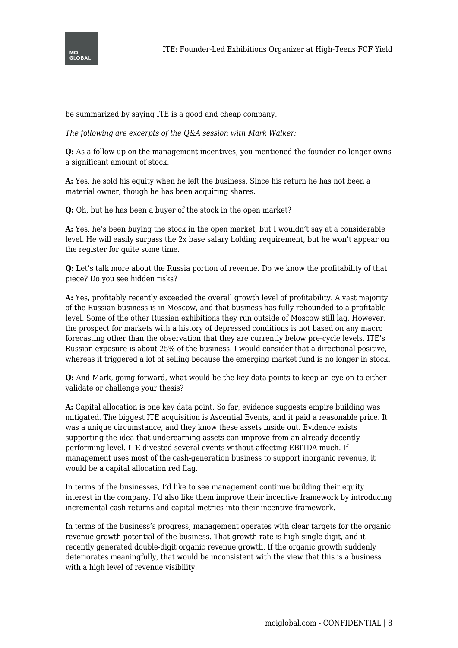

be summarized by saying ITE is a good and cheap company.

*The following are excerpts of the Q&A session with Mark Walker:*

**Q:** As a follow-up on the management incentives, you mentioned the founder no longer owns a significant amount of stock.

**A:** Yes, he sold his equity when he left the business. Since his return he has not been a material owner, though he has been acquiring shares.

**Q:** Oh, but he has been a buyer of the stock in the open market?

**A:** Yes, he's been buying the stock in the open market, but I wouldn't say at a considerable level. He will easily surpass the 2x base salary holding requirement, but he won't appear on the register for quite some time.

**Q:** Let's talk more about the Russia portion of revenue. Do we know the profitability of that piece? Do you see hidden risks?

**A:** Yes, profitably recently exceeded the overall growth level of profitability. A vast majority of the Russian business is in Moscow, and that business has fully rebounded to a profitable level. Some of the other Russian exhibitions they run outside of Moscow still lag. However, the prospect for markets with a history of depressed conditions is not based on any macro forecasting other than the observation that they are currently below pre-cycle levels. ITE's Russian exposure is about 25% of the business. I would consider that a directional positive, whereas it triggered a lot of selling because the emerging market fund is no longer in stock.

**Q:** And Mark, going forward, what would be the key data points to keep an eye on to either validate or challenge your thesis?

**A:** Capital allocation is one key data point. So far, evidence suggests empire building was mitigated. The biggest ITE acquisition is Ascential Events, and it paid a reasonable price. It was a unique circumstance, and they know these assets inside out. Evidence exists supporting the idea that underearning assets can improve from an already decently performing level. ITE divested several events without affecting EBITDA much. If management uses most of the cash-generation business to support inorganic revenue, it would be a capital allocation red flag.

In terms of the businesses, I'd like to see management continue building their equity interest in the company. I'd also like them improve their incentive framework by introducing incremental cash returns and capital metrics into their incentive framework.

In terms of the business's progress, management operates with clear targets for the organic revenue growth potential of the business. That growth rate is high single digit, and it recently generated double-digit organic revenue growth. If the organic growth suddenly deteriorates meaningfully, that would be inconsistent with the view that this is a business with a high level of revenue visibility.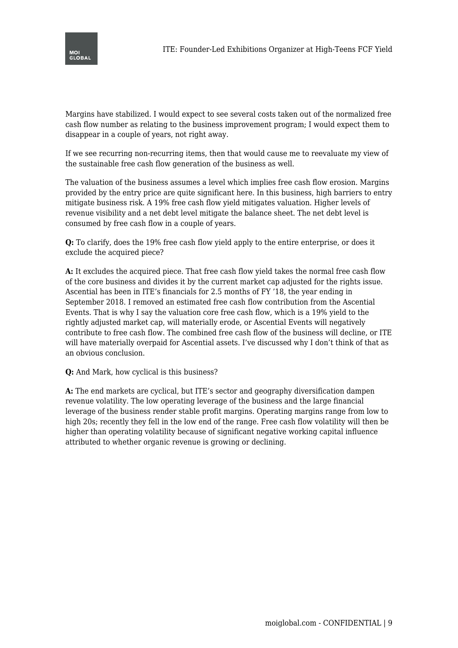

Margins have stabilized. I would expect to see several costs taken out of the normalized free cash flow number as relating to the business improvement program; I would expect them to disappear in a couple of years, not right away.

If we see recurring non-recurring items, then that would cause me to reevaluate my view of the sustainable free cash flow generation of the business as well.

The valuation of the business assumes a level which implies free cash flow erosion. Margins provided by the entry price are quite significant here. In this business, high barriers to entry mitigate business risk. A 19% free cash flow yield mitigates valuation. Higher levels of revenue visibility and a net debt level mitigate the balance sheet. The net debt level is consumed by free cash flow in a couple of years.

**Q:** To clarify, does the 19% free cash flow yield apply to the entire enterprise, or does it exclude the acquired piece?

**A:** It excludes the acquired piece. That free cash flow yield takes the normal free cash flow of the core business and divides it by the current market cap adjusted for the rights issue. Ascential has been in ITE's financials for 2.5 months of FY '18, the year ending in September 2018. I removed an estimated free cash flow contribution from the Ascential Events. That is why I say the valuation core free cash flow, which is a 19% yield to the rightly adjusted market cap, will materially erode, or Ascential Events will negatively contribute to free cash flow. The combined free cash flow of the business will decline, or ITE will have materially overpaid for Ascential assets. I've discussed why I don't think of that as an obvious conclusion.

**Q:** And Mark, how cyclical is this business?

**A:** The end markets are cyclical, but ITE's sector and geography diversification dampen revenue volatility. The low operating leverage of the business and the large financial leverage of the business render stable profit margins. Operating margins range from low to high 20s; recently they fell in the low end of the range. Free cash flow volatility will then be higher than operating volatility because of significant negative working capital influence attributed to whether organic revenue is growing or declining.